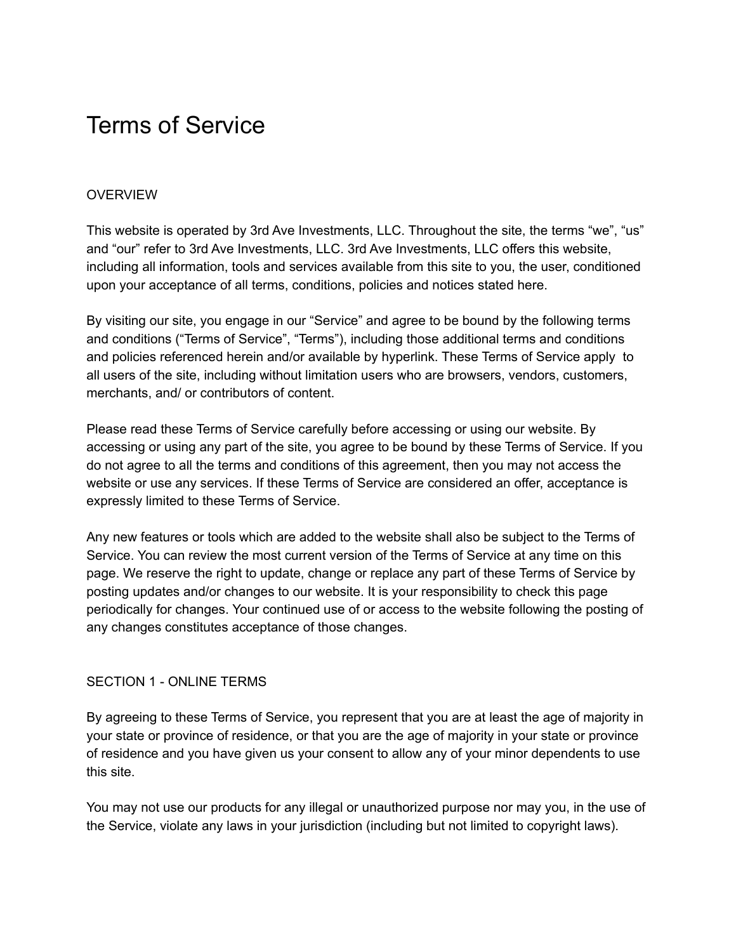# Terms of Service

## **OVERVIEW**

This website is operated by 3rd Ave Investments, LLC. Throughout the site, the terms "we", "us" and "our" refer to 3rd Ave Investments, LLC. 3rd Ave Investments, LLC offers this website, including all information, tools and services available from this site to you, the user, conditioned upon your acceptance of all terms, conditions, policies and notices stated here.

By visiting our site, you engage in our "Service" and agree to be bound by the following terms and conditions ("Terms of Service", "Terms"), including those additional terms and conditions and policies referenced herein and/or available by hyperlink. These Terms of Service apply to all users of the site, including without limitation users who are browsers, vendors, customers, merchants, and/ or contributors of content.

Please read these Terms of Service carefully before accessing or using our website. By accessing or using any part of the site, you agree to be bound by these Terms of Service. If you do not agree to all the terms and conditions of this agreement, then you may not access the website or use any services. If these Terms of Service are considered an offer, acceptance is expressly limited to these Terms of Service.

Any new features or tools which are added to the website shall also be subject to the Terms of Service. You can review the most current version of the Terms of Service at any time on this page. We reserve the right to update, change or replace any part of these Terms of Service by posting updates and/or changes to our website. It is your responsibility to check this page periodically for changes. Your continued use of or access to the website following the posting of any changes constitutes acceptance of those changes.

#### SECTION 1 - ONLINE TERMS

By agreeing to these Terms of Service, you represent that you are at least the age of majority in your state or province of residence, or that you are the age of majority in your state or province of residence and you have given us your consent to allow any of your minor dependents to use this site.

You may not use our products for any illegal or unauthorized purpose nor may you, in the use of the Service, violate any laws in your jurisdiction (including but not limited to copyright laws).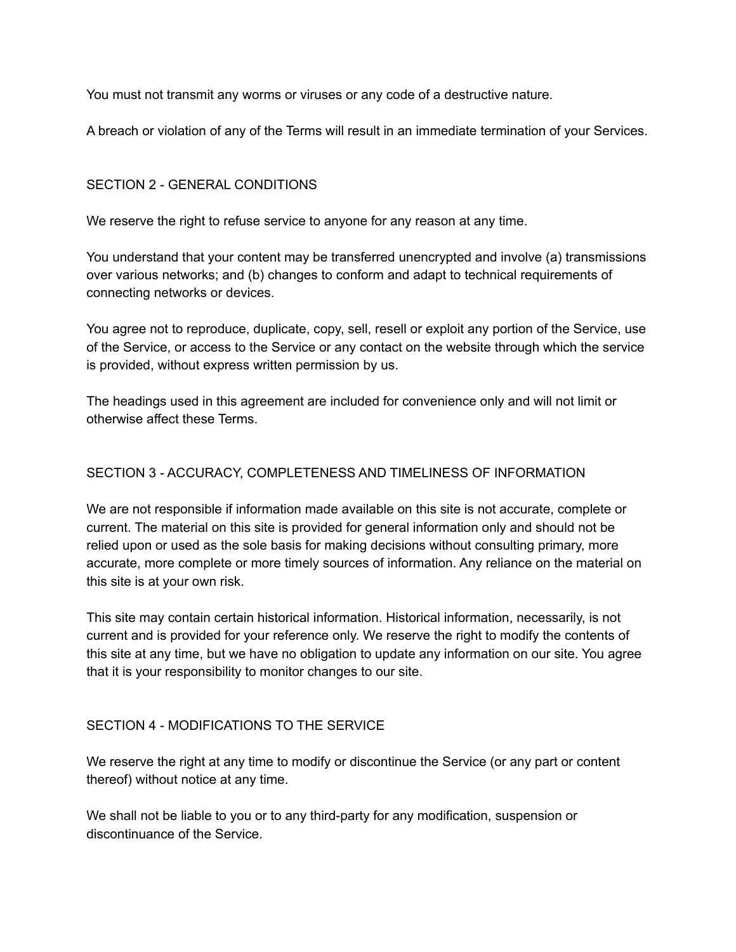You must not transmit any worms or viruses or any code of a destructive nature.

A breach or violation of any of the Terms will result in an immediate termination of your Services.

# SECTION 2 - GENERAL CONDITIONS

We reserve the right to refuse service to anyone for any reason at any time.

You understand that your content may be transferred unencrypted and involve (a) transmissions over various networks; and (b) changes to conform and adapt to technical requirements of connecting networks or devices.

You agree not to reproduce, duplicate, copy, sell, resell or exploit any portion of the Service, use of the Service, or access to the Service or any contact on the website through which the service is provided, without express written permission by us.

The headings used in this agreement are included for convenience only and will not limit or otherwise affect these Terms.

## SECTION 3 - ACCURACY, COMPLETENESS AND TIMELINESS OF INFORMATION

We are not responsible if information made available on this site is not accurate, complete or current. The material on this site is provided for general information only and should not be relied upon or used as the sole basis for making decisions without consulting primary, more accurate, more complete or more timely sources of information. Any reliance on the material on this site is at your own risk.

This site may contain certain historical information. Historical information, necessarily, is not current and is provided for your reference only. We reserve the right to modify the contents of this site at any time, but we have no obligation to update any information on our site. You agree that it is your responsibility to monitor changes to our site.

# SECTION 4 - MODIFICATIONS TO THE SERVICE

We reserve the right at any time to modify or discontinue the Service (or any part or content thereof) without notice at any time.

We shall not be liable to you or to any third-party for any modification, suspension or discontinuance of the Service.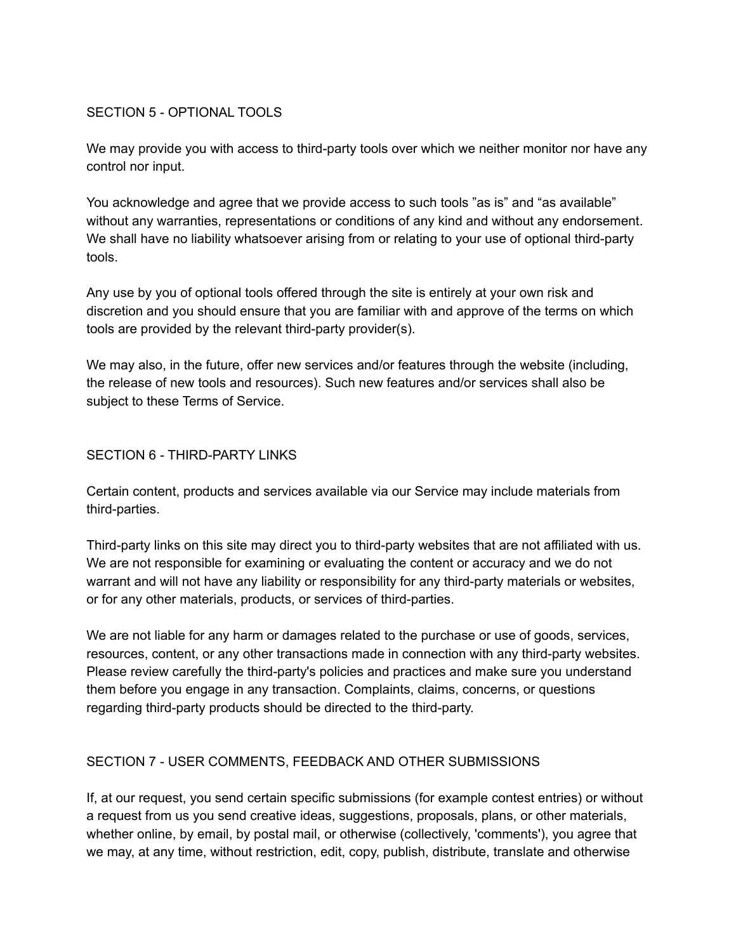## SECTION 5 - OPTIONAL TOOLS

We may provide you with access to third-party tools over which we neither monitor nor have any control nor input.

You acknowledge and agree that we provide access to such tools "as is" and "as available" without any warranties, representations or conditions of any kind and without any endorsement. We shall have no liability whatsoever arising from or relating to your use of optional third-party tools.

Any use by you of optional tools offered through the site is entirely at your own risk and discretion and you should ensure that you are familiar with and approve of the terms on which tools are provided by the relevant third-party provider(s).

We may also, in the future, offer new services and/or features through the website (including, the release of new tools and resources). Such new features and/or services shall also be subject to these Terms of Service.

## SECTION 6 - THIRD-PARTY LINKS

Certain content, products and services available via our Service may include materials from third-parties.

Third-party links on this site may direct you to third-party websites that are not affiliated with us. We are not responsible for examining or evaluating the content or accuracy and we do not warrant and will not have any liability or responsibility for any third-party materials or websites, or for any other materials, products, or services of third-parties.

We are not liable for any harm or damages related to the purchase or use of goods, services, resources, content, or any other transactions made in connection with any third-party websites. Please review carefully the third-party's policies and practices and make sure you understand them before you engage in any transaction. Complaints, claims, concerns, or questions regarding third-party products should be directed to the third-party.

#### SECTION 7 - USER COMMENTS, FEEDBACK AND OTHER SUBMISSIONS

If, at our request, you send certain specific submissions (for example contest entries) or without a request from us you send creative ideas, suggestions, proposals, plans, or other materials, whether online, by email, by postal mail, or otherwise (collectively, 'comments'), you agree that we may, at any time, without restriction, edit, copy, publish, distribute, translate and otherwise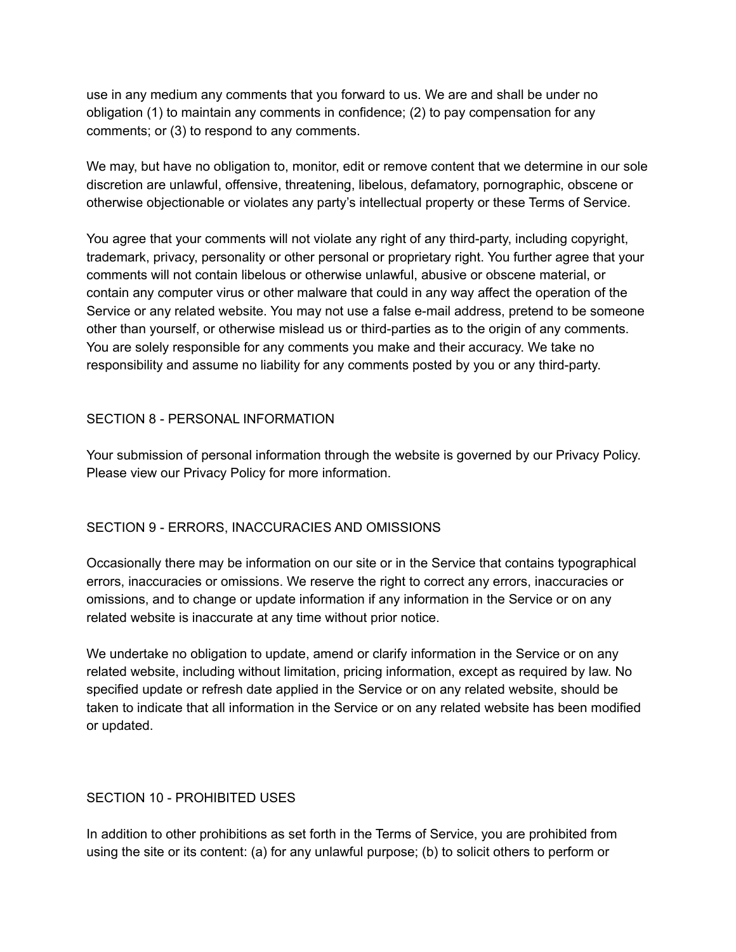use in any medium any comments that you forward to us. We are and shall be under no obligation (1) to maintain any comments in confidence; (2) to pay compensation for any comments; or (3) to respond to any comments.

We may, but have no obligation to, monitor, edit or remove content that we determine in our sole discretion are unlawful, offensive, threatening, libelous, defamatory, pornographic, obscene or otherwise objectionable or violates any party's intellectual property or these Terms of Service.

You agree that your comments will not violate any right of any third-party, including copyright, trademark, privacy, personality or other personal or proprietary right. You further agree that your comments will not contain libelous or otherwise unlawful, abusive or obscene material, or contain any computer virus or other malware that could in any way affect the operation of the Service or any related website. You may not use a false e-mail address, pretend to be someone other than yourself, or otherwise mislead us or third-parties as to the origin of any comments. You are solely responsible for any comments you make and their accuracy. We take no responsibility and assume no liability for any comments posted by you or any third-party.

## SECTION 8 - PERSONAL INFORMATION

Your submission of personal information through the website is governed by our Privacy Policy. Please view our Privacy Policy for more information.

#### SECTION 9 - ERRORS, INACCURACIES AND OMISSIONS

Occasionally there may be information on our site or in the Service that contains typographical errors, inaccuracies or omissions. We reserve the right to correct any errors, inaccuracies or omissions, and to change or update information if any information in the Service or on any related website is inaccurate at any time without prior notice.

We undertake no obligation to update, amend or clarify information in the Service or on any related website, including without limitation, pricing information, except as required by law. No specified update or refresh date applied in the Service or on any related website, should be taken to indicate that all information in the Service or on any related website has been modified or updated.

# SECTION 10 - PROHIBITED USES

In addition to other prohibitions as set forth in the Terms of Service, you are prohibited from using the site or its content: (a) for any unlawful purpose; (b) to solicit others to perform or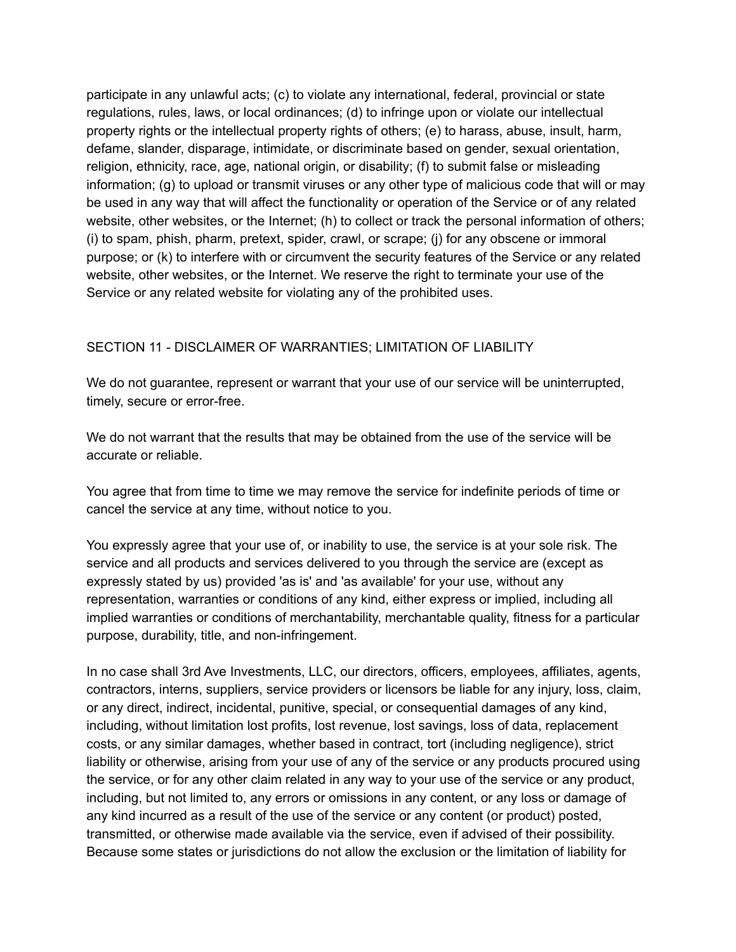participate in any unlawful acts; (c) to violate any international, federal, provincial or state regulations, rules, laws, or local ordinances; (d) to infringe upon or violate our intellectual property rights or the intellectual property rights of others; (e) to harass, abuse, insult, harm, defame, slander, disparage, intimidate, or discriminate based on gender, sexual orientation, religion, ethnicity, race, age, national origin, or disability; (f) to submit false or misleading information; (g) to upload or transmit viruses or any other type of malicious code that will or may be used in any way that will affect the functionality or operation of the Service or of any related website, other websites, or the Internet; (h) to collect or track the personal information of others; (i) to spam, phish, pharm, pretext, spider, crawl, or scrape; (j) for any obscene or immoral purpose; or (k) to interfere with or circumvent the security features of the Service or any related website, other websites, or the Internet. We reserve the right to terminate your use of the Service or any related website for violating any of the prohibited uses.

# SECTION 11 - DISCLAIMER OF WARRANTIES; LIMITATION OF LIABILITY

We do not guarantee, represent or warrant that your use of our service will be uninterrupted, timely, secure or error-free.

We do not warrant that the results that may be obtained from the use of the service will be accurate or reliable.

You agree that from time to time we may remove the service for indefinite periods of time or cancel the service at any time, without notice to you.

You expressly agree that your use of, or inability to use, the service is at your sole risk. The service and all products and services delivered to you through the service are (except as expressly stated by us) provided 'as is' and 'as available' for your use, without any representation, warranties or conditions of any kind, either express or implied, including all implied warranties or conditions of merchantability, merchantable quality, fitness for a particular purpose, durability, title, and non-infringement.

In no case shall 3rd Ave Investments, LLC, our directors, officers, employees, affiliates, agents, contractors, interns, suppliers, service providers or licensors be liable for any injury, loss, claim, or any direct, indirect, incidental, punitive, special, or consequential damages of any kind, including, without limitation lost profits, lost revenue, lost savings, loss of data, replacement costs, or any similar damages, whether based in contract, tort (including negligence), strict liability or otherwise, arising from your use of any of the service or any products procured using the service, or for any other claim related in any way to your use of the service or any product, including, but not limited to, any errors or omissions in any content, or any loss or damage of any kind incurred as a result of the use of the service or any content (or product) posted, transmitted, or otherwise made available via the service, even if advised of their possibility. Because some states or jurisdictions do not allow the exclusion or the limitation of liability for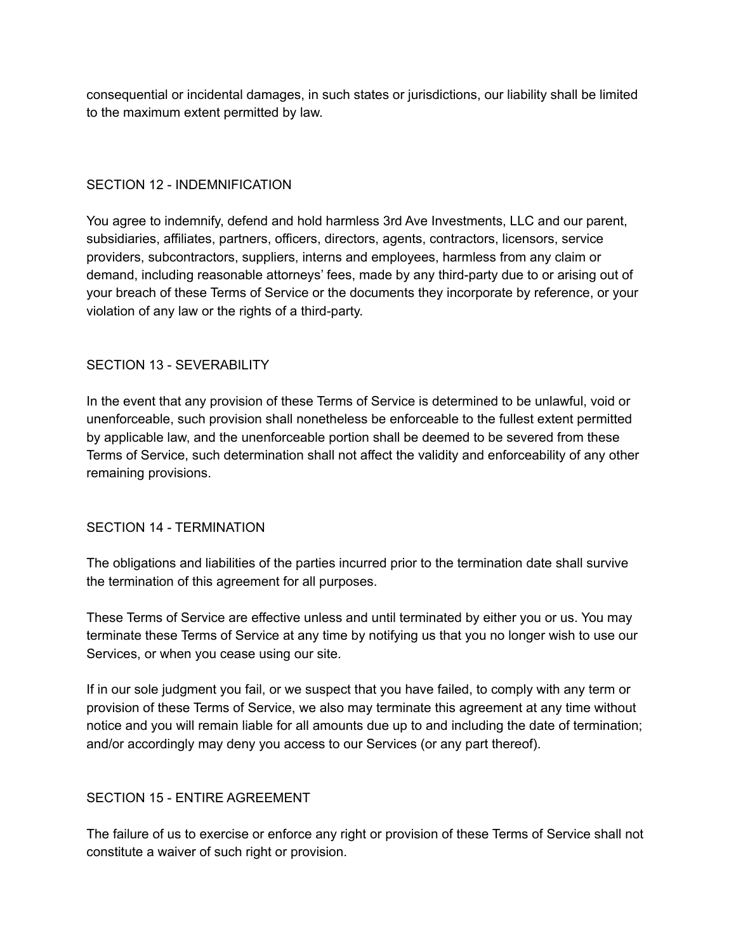consequential or incidental damages, in such states or jurisdictions, our liability shall be limited to the maximum extent permitted by law.

# SECTION 12 - INDEMNIFICATION

You agree to indemnify, defend and hold harmless 3rd Ave Investments, LLC and our parent, subsidiaries, affiliates, partners, officers, directors, agents, contractors, licensors, service providers, subcontractors, suppliers, interns and employees, harmless from any claim or demand, including reasonable attorneys' fees, made by any third-party due to or arising out of your breach of these Terms of Service or the documents they incorporate by reference, or your violation of any law or the rights of a third-party.

# SECTION 13 - SEVERABILITY

In the event that any provision of these Terms of Service is determined to be unlawful, void or unenforceable, such provision shall nonetheless be enforceable to the fullest extent permitted by applicable law, and the unenforceable portion shall be deemed to be severed from these Terms of Service, such determination shall not affect the validity and enforceability of any other remaining provisions.

# SECTION 14 - TERMINATION

The obligations and liabilities of the parties incurred prior to the termination date shall survive the termination of this agreement for all purposes.

These Terms of Service are effective unless and until terminated by either you or us. You may terminate these Terms of Service at any time by notifying us that you no longer wish to use our Services, or when you cease using our site.

If in our sole judgment you fail, or we suspect that you have failed, to comply with any term or provision of these Terms of Service, we also may terminate this agreement at any time without notice and you will remain liable for all amounts due up to and including the date of termination; and/or accordingly may deny you access to our Services (or any part thereof).

# SECTION 15 - ENTIRE AGREEMENT

The failure of us to exercise or enforce any right or provision of these Terms of Service shall not constitute a waiver of such right or provision.